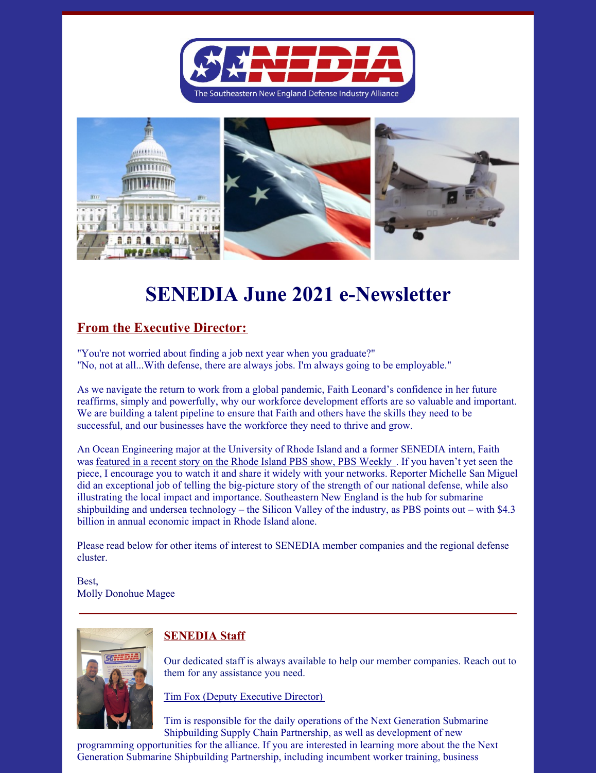



# **SENEDIA June 2021 e-Newsletter**

## **From the Executive Director:**

"You're not worried about finding a job next year when you graduate?" "No, not at all...With defense, there are always jobs. I'm always going to be employable."

As we navigate the return to work from a global pandemic, Faith Leonard's confidence in her future reaffirms, simply and powerfully, why our workforce development efforts are so valuable and important. We are building a talent pipeline to ensure that Faith and others have the skills they need to be successful, and our businesses have the workforce they need to thrive and grow.

An Ocean Engineering major at the University of Rhode Island and a former SENEDIA intern, Faith was [featured](https://watch.ripbs.org/video/silent-service-opnnyn/) in a recent story on the Rhode Island PBS show, PBS Weekly . If you haven't yet seen the piece, I encourage you to watch it and share it widely with your networks. Reporter Michelle San Miguel did an exceptional job of telling the big-picture story of the strength of our national defense, while also illustrating the local impact and importance. Southeastern New England is the hub for submarine shipbuilding and undersea technology – the Silicon Valley of the industry, as PBS points out – with \$4.3 billion in annual economic impact in Rhode Island alone.

Please read below for other items of interest to SENEDIA member companies and the regional defense cluster.

Best, Molly Donohue Magee



## **SENEDIA Staff**

Our dedicated staff is always available to help our member companies. Reach out to them for any assistance you need.

Tim Fox (Deputy Executive Director)

Tim is responsible for the daily operations of the Next Generation Submarine Shipbuilding Supply Chain Partnership, as well as development of new

programming opportunities for the alliance. If you are interested in learning more about the the Next Generation Submarine Shipbuilding Partnership, including incumbent worker training, business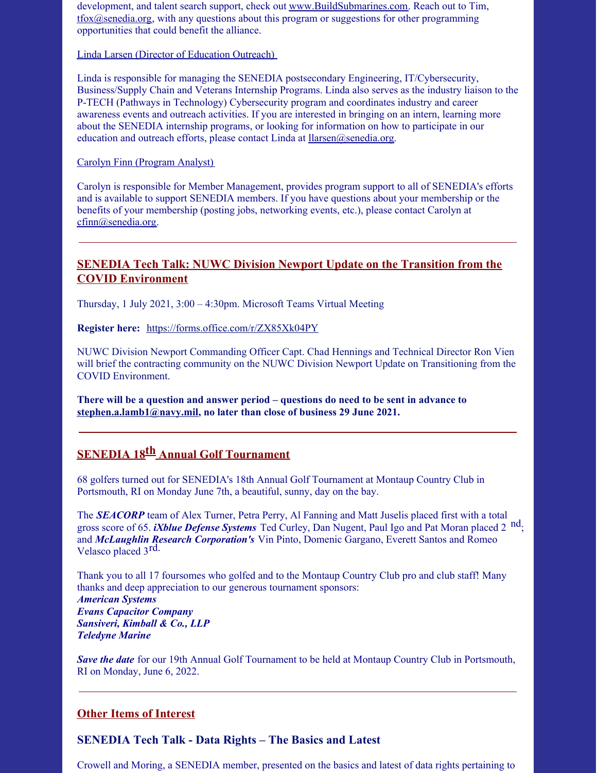development, and talent search support, check out [www.BuildSubmarines.com](http://www.buildsubmarines.com). Reach out to Tim, [tfox@senedia.org,](mailto:tfox@senedia.org) with any questions about this program or suggestions for other programming opportunities that could benefit the alliance.

Linda Larsen (Director of Education Outreach)

Linda is responsible for managing the SENEDIA postsecondary Engineering, IT/Cybersecurity, Business/Supply Chain and Veterans Internship Programs. Linda also serves as the industry liaison to the P-TECH (Pathways in Technology) Cybersecurity program and coordinates industry and career awareness events and outreach activities. If you are interested in bringing on an intern, learning more about the SENEDIA internship programs, or looking for information on how to participate in our education and outreach efforts, please contact Linda at  $llarse n(\partial s)$ senedia.org.

Carolyn Finn (Program Analyst)

Carolyn is responsible for Member Management, provides program support to all of SENEDIA's efforts and is available to support SENEDIA members. If you have questions about your membership or the benefits of your membership (posting jobs, networking events, etc.), please contact Carolyn at [cfinn@senedia.org](mailto:cfinn@senedia.org).

### **SENEDIA Tech Talk: NUWC Division Newport Update on the Transition from the COVID Environment**

Thursday, 1 July 2021, 3:00 – 4:30pm. Microsoft Teams Virtual Meeting

**Register here:** <https://forms.office.com/r/ZX85Xk04PY>

NUWC Division Newport Commanding Officer Capt. Chad Hennings and Technical Director Ron Vien will brief the contracting community on the NUWC Division Newport Update on Transitioning from the COVID Environment.

**There will be a question and answer period – questions do need to be sent in advance to [stephen.a.lamb1@navy.mil](mailto:stephen.a.lamb1@navy.mil), no later than close of business 29 June 2021.**

# **SENEDIA 18 th Annual Golf Tournament**

68 golfers turned out for SENEDIA's 18th Annual Golf Tournament at Montaup Country Club in Portsmouth, RI on Monday June 7th, a beautiful, sunny, day on the bay.

The *SEACORP* team of Alex Turner, Petra Perry, Al Fanning and Matt Juselis placed first with a total gross score of 65. *iXblue Defense Systems* Ted Curley, Dan Nugent, Paul Igo and Pat Moran placed 2 nd; and *McLaughlin Research Corporation's* Vin Pinto, Domenic Gargano, Everett Santos and Romeo Velasco placed 3rd.

Thank you to all 17 foursomes who golfed and to the Montaup Country Club pro and club staff! Many thanks and deep appreciation to our generous tournament sponsors: *American Systems Evans Capacitor Company Sansiveri, Kimball & Co., LLP Teledyne Marine*

*Save the date* for our 19th Annual Golf Tournament to be held at Montaup Country Club in Portsmouth, RI on Monday, June 6, 2022.

#### **Other Items of Interest**

#### **SENEDIA Tech Talk - Data Rights – The Basics and Latest**

Crowell and Moring, a SENEDIA member, presented on the basics and latest of data rights pertaining to